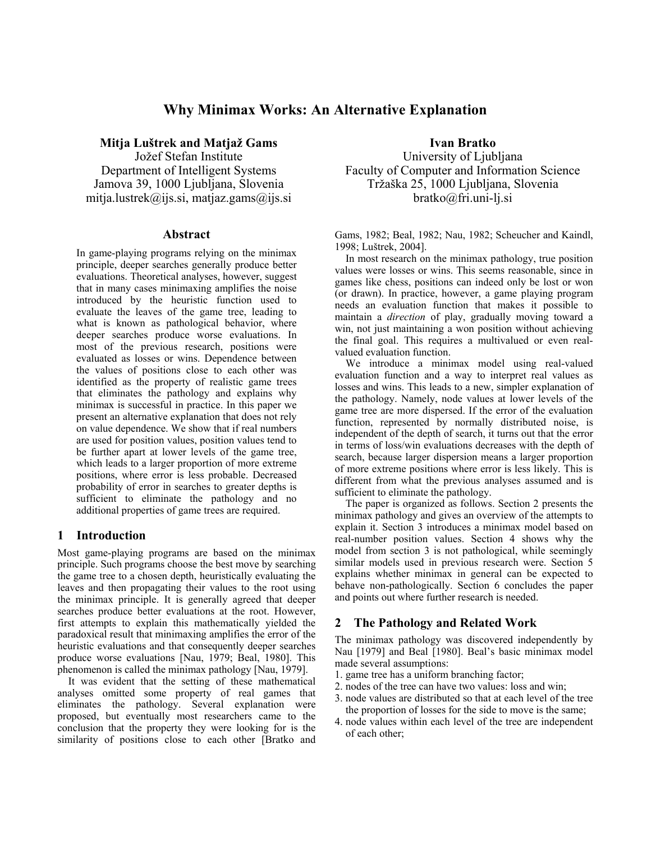# **Why Minimax Works: An Alternative Explanation**

**Mitja Luštrek and Matjaž Gams**  Jožef Stefan Institute Department of Intelligent Systems Jamova 39, 1000 Ljubljana, Slovenia mitja.lustrek@ijs.si, matjaz.gams@ijs.si

#### **Abstract**

In game-playing programs relying on the minimax principle, deeper searches generally produce better evaluations. Theoretical analyses, however, suggest that in many cases minimaxing amplifies the noise introduced by the heuristic function used to evaluate the leaves of the game tree, leading to what is known as pathological behavior, where deeper searches produce worse evaluations. In most of the previous research, positions were evaluated as losses or wins. Dependence between the values of positions close to each other was identified as the property of realistic game trees that eliminates the pathology and explains why minimax is successful in practice. In this paper we present an alternative explanation that does not rely on value dependence. We show that if real numbers are used for position values, position values tend to be further apart at lower levels of the game tree, which leads to a larger proportion of more extreme positions, where error is less probable. Decreased probability of error in searches to greater depths is sufficient to eliminate the pathology and no additional properties of game trees are required.

# **1 Introduction**

Most game-playing programs are based on the minimax principle. Such programs choose the best move by searching the game tree to a chosen depth, heuristically evaluating the leaves and then propagating their values to the root using the minimax principle. It is generally agreed that deeper searches produce better evaluations at the root. However, first attempts to explain this mathematically yielded the paradoxical result that minimaxing amplifies the error of the heuristic evaluations and that consequently deeper searches produce worse evaluations [Nau, 1979; Beal, 1980]. This phenomenon is called the minimax pathology [Nau, 1979].

It was evident that the setting of these mathematical analyses omitted some property of real games that eliminates the pathology. Several explanation were proposed, but eventually most researchers came to the conclusion that the property they were looking for is the similarity of positions close to each other [Bratko and **Ivan Bratko** 

University of Ljubljana Faculty of Computer and Information Science Tržaška 25, 1000 Ljubljana, Slovenia bratko@fri.uni-lj.si

Gams, 1982; Beal, 1982; Nau, 1982; Scheucher and Kaindl, 1998; Luštrek, 2004].

In most research on the minimax pathology, true position values were losses or wins. This seems reasonable, since in games like chess, positions can indeed only be lost or won (or drawn). In practice, however, a game playing program needs an evaluation function that makes it possible to maintain a *direction* of play, gradually moving toward a win, not just maintaining a won position without achieving the final goal. This requires a multivalued or even realvalued evaluation function.

We introduce a minimax model using real-valued evaluation function and a way to interpret real values as losses and wins. This leads to a new, simpler explanation of the pathology. Namely, node values at lower levels of the game tree are more dispersed. If the error of the evaluation function, represented by normally distributed noise, is independent of the depth of search, it turns out that the error in terms of loss/win evaluations decreases with the depth of search, because larger dispersion means a larger proportion of more extreme positions where error is less likely. This is different from what the previous analyses assumed and is sufficient to eliminate the pathology.

The paper is organized as follows. Section 2 presents the minimax pathology and gives an overview of the attempts to explain it. Section 3 introduces a minimax model based on real-number position values. Section 4 shows why the model from section 3 is not pathological, while seemingly similar models used in previous research were. Section 5 explains whether minimax in general can be expected to behave non-pathologically. Section 6 concludes the paper and points out where further research is needed.

# **2 The Pathology and Related Work**

The minimax pathology was discovered independently by Nau [1979] and Beal [1980]. Beal's basic minimax model made several assumptions:

- 1. game tree has a uniform branching factor;
- 2. nodes of the tree can have two values: loss and win;
- 3. node values are distributed so that at each level of the tree the proportion of losses for the side to move is the same;
- 4. node values within each level of the tree are independent of each other;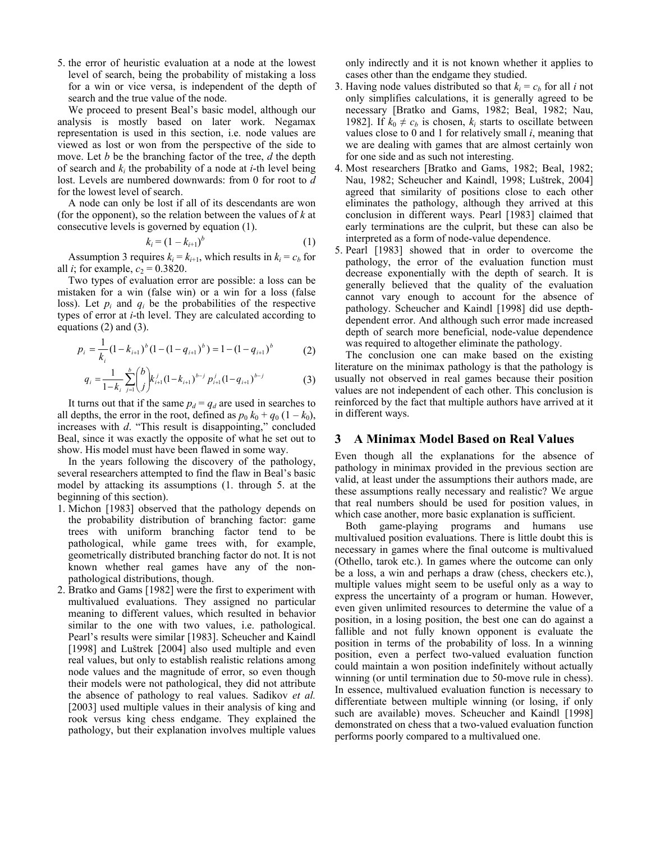5. the error of heuristic evaluation at a node at the lowest level of search, being the probability of mistaking a loss for a win or vice versa, is independent of the depth of search and the true value of the node.

We proceed to present Beal's basic model, although our analysis is mostly based on later work. Negamax representation is used in this section, i.e. node values are viewed as lost or won from the perspective of the side to move. Let *b* be the branching factor of the tree, *d* the depth of search and *ki* the probability of a node at *i*-th level being lost. Levels are numbered downwards: from 0 for root to *d* for the lowest level of search.

A node can only be lost if all of its descendants are won (for the opponent), so the relation between the values of *k* at consecutive levels is governed by equation [\(1\).](#page-1-0)

$$
k_i = (1 - k_{i+1})^b \tag{1}
$$

Assumption 3 requires  $k_i = k_{i+1}$ , which results in  $k_i = c_b$  for all *i*; for example,  $c_2 = 0.3820$ .

Two types of evaluation error are possible: a loss can be mistaken for a win (false win) or a win for a loss (false loss). Let  $p_i$  and  $q_i$  be the probabilities of the respective types of error at *i*-th level. They are calculated according to equations [\(2\)](#page-1-1) and [\(3\).](#page-1-2)

$$
p_i = \frac{1}{k_i} (1 - k_{i+1})^b (1 - (1 - q_{i+1})^b) = 1 - (1 - q_{i+1})^b
$$
 (2)

$$
q_i = \frac{1}{1 - k_i} \sum_{j=1}^{b} {b \choose j} k_{i+1}^j (1 - k_{i+1})^{b-j} p_{i+1}^j (1 - q_{i+1})^{b-j}
$$
(3)

It turns out that if the same  $p_d = q_d$  are used in searches to all depths, the error in the root, defined as  $p_0 k_0 + q_0 (1 - k_0)$ , increases with *d*. "This result is disappointing," concluded Beal, since it was exactly the opposite of what he set out to show. His model must have been flawed in some way.

In the years following the discovery of the pathology, several researchers attempted to find the flaw in Beal's basic model by attacking its assumptions (1. through 5. at the beginning of this section).

- 1. Michon [1983] observed that the pathology depends on the probability distribution of branching factor: game trees with uniform branching factor tend to be pathological, while game trees with, for example, geometrically distributed branching factor do not. It is not known whether real games have any of the nonpathological distributions, though.
- 2. Bratko and Gams [1982] were the first to experiment with multivalued evaluations. They assigned no particular meaning to different values, which resulted in behavior similar to the one with two values, i.e. pathological. Pearl's results were similar [1983]. Scheucher and Kaindl [1998] and Luštrek [2004] also used multiple and even real values, but only to establish realistic relations among node values and the magnitude of error, so even though their models were not pathological, they did not attribute the absence of pathology to real values. Sadikov *et al.* [2003] used multiple values in their analysis of king and rook versus king chess endgame. They explained the pathology, but their explanation involves multiple values

only indirectly and it is not known whether it applies to cases other than the endgame they studied.

- 3. Having node values distributed so that  $k_i = c_b$  for all *i* not only simplifies calculations, it is generally agreed to be necessary [Bratko and Gams, 1982; Beal, 1982; Nau, 1982]. If  $k_0 \neq c_b$  is chosen,  $k_i$  starts to oscillate between values close to 0 and 1 for relatively small *i*, meaning that we are dealing with games that are almost certainly won for one side and as such not interesting.
- 4. Most researchers [Bratko and Gams, 1982; Beal, 1982; Nau, 1982; Scheucher and Kaindl, 1998; Luštrek, 2004] agreed that similarity of positions close to each other eliminates the pathology, although they arrived at this conclusion in different ways. Pearl [1983] claimed that early terminations are the culprit, but these can also be interpreted as a form of node-value dependence.
- <span id="page-1-0"></span>5. Pearl [1983] showed that in order to overcome the pathology, the error of the evaluation function must decrease exponentially with the depth of search. It is generally believed that the quality of the evaluation cannot vary enough to account for the absence of pathology. Scheucher and Kaindl [1998] did use depthdependent error. And although such error made increased depth of search more beneficial, node-value dependence was required to altogether eliminate the pathology.

<span id="page-1-2"></span><span id="page-1-1"></span>The conclusion one can make based on the existing literature on the minimax pathology is that the pathology is usually not observed in real games because their position values are not independent of each other. This conclusion is reinforced by the fact that multiple authors have arrived at it in different ways.

## **3 A Minimax Model Based on Real Values**

Even though all the explanations for the absence of pathology in minimax provided in the previous section are valid, at least under the assumptions their authors made, are these assumptions really necessary and realistic? We argue that real numbers should be used for position values, in which case another, more basic explanation is sufficient.

Both game-playing programs and humans use multivalued position evaluations. There is little doubt this is necessary in games where the final outcome is multivalued (Othello, tarok etc.). In games where the outcome can only be a loss, a win and perhaps a draw (chess, checkers etc.), multiple values might seem to be useful only as a way to express the uncertainty of a program or human. However, even given unlimited resources to determine the value of a position, in a losing position, the best one can do against a fallible and not fully known opponent is evaluate the position in terms of the probability of loss. In a winning position, even a perfect two-valued evaluation function could maintain a won position indefinitely without actually winning (or until termination due to 50-move rule in chess). In essence, multivalued evaluation function is necessary to differentiate between multiple winning (or losing, if only such are available) moves. Scheucher and Kaindl [1998] demonstrated on chess that a two-valued evaluation function performs poorly compared to a multivalued one.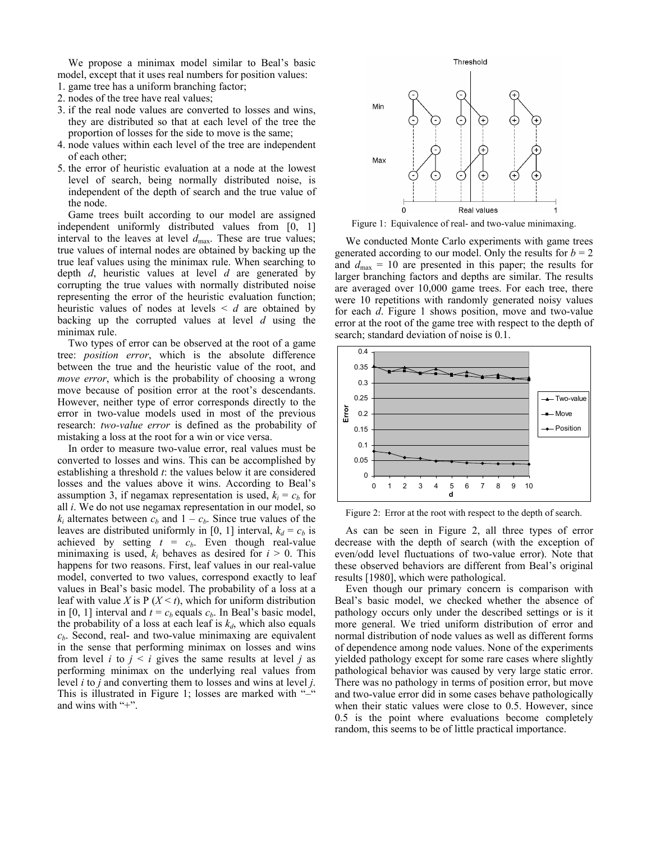We propose a minimax model similar to Beal's basic model, except that it uses real numbers for position values:

- 1. game tree has a uniform branching factor;
- 2. nodes of the tree have real values;
- 3. if the real node values are converted to losses and wins, they are distributed so that at each level of the tree the proportion of losses for the side to move is the same;
- 4. node values within each level of the tree are independent of each other;
- 5. the error of heuristic evaluation at a node at the lowest level of search, being normally distributed noise, is independent of the depth of search and the true value of the node.

Game trees built according to our model are assigned independent uniformly distributed values from [0, 1] interval to the leaves at level  $d_{\text{max}}$ . These are true values; true values of internal nodes are obtained by backing up the true leaf values using the minimax rule. When searching to depth *d*, heuristic values at level *d* are generated by corrupting the true values with normally distributed noise representing the error of the heuristic evaluation function; heuristic values of nodes at levels < *d* are obtained by backing up the corrupted values at level *d* using the minimax rule.

Two types of error can be observed at the root of a game tree: *position error*, which is the absolute difference between the true and the heuristic value of the root, and *move error*, which is the probability of choosing a wrong move because of position error at the root's descendants. However, neither type of error corresponds directly to the error in two-value models used in most of the previous research: *two-value error* is defined as the probability of mistaking a loss at the root for a win or vice versa.

In order to measure two-value error, real values must be converted to losses and wins. This can be accomplished by establishing a threshold *t*: the values below it are considered losses and the values above it wins. According to Beal's assumption 3, if negamax representation is used,  $k_i = c_b$  for all *i*. We do not use negamax representation in our model, so  $k_i$  alternates between  $c_b$  and  $1 - c_b$ . Since true values of the leaves are distributed uniformly in [0, 1] interval,  $k_d = c_b$  is achieved by setting  $t = c_b$ . Even though real-value minimaxing is used,  $k_i$  behaves as desired for  $i > 0$ . This happens for two reasons. First, leaf values in our real-value model, converted to two values, correspond exactly to leaf values in Beal's basic model. The probability of a loss at a leaf with value *X* is  $P(X \le t)$ , which for uniform distribution in [0, 1] interval and  $t = c_b$  equals  $c_b$ . In Beal's basic model, the probability of a loss at each leaf is  $k_d$ , which also equals  $c<sub>b</sub>$ . Second, real- and two-value minimaxing are equivalent in the sense that performing minimax on losses and wins from level *i* to  $j < i$  gives the same results at level *j* as performing minimax on the underlying real values from level *i* to *j* and converting them to losses and wins at level *j*. This is illustrated in Figure 1; losses are marked with "-" and wins with "+".



Figure 1: Equivalence of real- and two-value minimaxing.

We conducted Monte Carlo experiments with game trees generated according to our model. Only the results for  $b = 2$ and  $d_{\text{max}} = 10$  are presented in this paper; the results for larger branching factors and depths are similar. The results are averaged over 10,000 game trees. For each tree, there were 10 repetitions with randomly generated noisy values for each *d*. Figure 1 shows position, move and two-value error at the root of the game tree with respect to the depth of search; standard deviation of noise is 0.1.



Figure 2: Error at the root with respect to the depth of search.

As can be seen in Figure 2, all three types of error decrease with the depth of search (with the exception of even/odd level fluctuations of two-value error). Note that these observed behaviors are different from Beal's original results [1980], which were pathological.

Even though our primary concern is comparison with Beal's basic model, we checked whether the absence of pathology occurs only under the described settings or is it more general. We tried uniform distribution of error and normal distribution of node values as well as different forms of dependence among node values. None of the experiments yielded pathology except for some rare cases where slightly pathological behavior was caused by very large static error. There was no pathology in terms of position error, but move and two-value error did in some cases behave pathologically when their static values were close to 0.5. However, since 0.5 is the point where evaluations become completely random, this seems to be of little practical importance.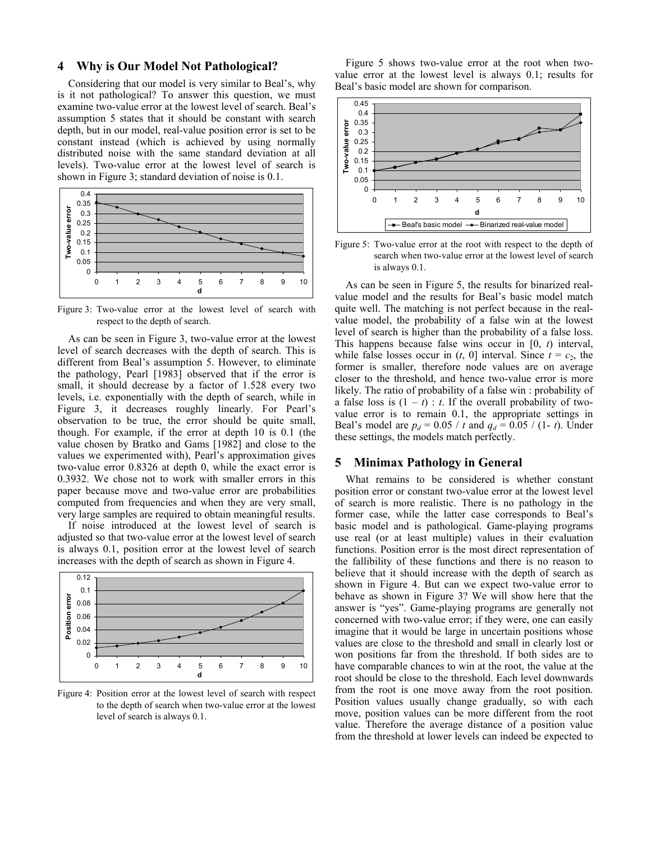#### **4 Why is Our Model Not Pathological?**

Considering that our model is very similar to Beal's, why is it not pathological? To answer this question, we must examine two-value error at the lowest level of search. Beal's assumption 5 states that it should be constant with search depth, but in our model, real-value position error is set to be constant instead (which is achieved by using normally distributed noise with the same standard deviation at all levels). Two-value error at the lowest level of search is shown in Figure 3; standard deviation of noise is 0.1.



Figure 3: Two-value error at the lowest level of search with respect to the depth of search.

As can be seen in Figure 3, two-value error at the lowest level of search decreases with the depth of search. This is different from Beal's assumption 5. However, to eliminate the pathology, Pearl [1983] observed that if the error is small, it should decrease by a factor of 1.528 every two levels, i.e. exponentially with the depth of search, while in Figure 3, it decreases roughly linearly. For Pearl's observation to be true, the error should be quite small, though. For example, if the error at depth 10 is 0.1 (the value chosen by Bratko and Gams [1982] and close to the values we experimented with), Pearl's approximation gives two-value error 0.8326 at depth 0, while the exact error is 0.3932. We chose not to work with smaller errors in this paper because move and two-value error are probabilities computed from frequencies and when they are very small, very large samples are required to obtain meaningful results.

If noise introduced at the lowest level of search is adjusted so that two-value error at the lowest level of search is always 0.1, position error at the lowest level of search increases with the depth of search as shown in Figure 4.



Figure 4: Position error at the lowest level of search with respect to the depth of search when two-value error at the lowest level of search is always 0.1.

Figure 5 shows two-value error at the root when twovalue error at the lowest level is always 0.1; results for Beal's basic model are shown for comparison.



Figure 5: Two-value error at the root with respect to the depth of search when two-value error at the lowest level of search is always 0.1.

As can be seen in Figure 5, the results for binarized realvalue model and the results for Beal's basic model match quite well. The matching is not perfect because in the realvalue model, the probability of a false win at the lowest level of search is higher than the probability of a false loss. This happens because false wins occur in [0, *t*) interval, while false losses occur in  $(t, 0)$  interval. Since  $t = c_2$ , the former is smaller, therefore node values are on average closer to the threshold, and hence two-value error is more likely. The ratio of probability of a false win : probability of a false loss is  $(1 - t)$ : *t*. If the overall probability of twovalue error is to remain 0.1, the appropriate settings in Beal's model are  $p_d = 0.05 / t$  and  $q_d = 0.05 / (1 - t)$ . Under these settings, the models match perfectly.

## **5 Minimax Pathology in General**

What remains to be considered is whether constant position error or constant two-value error at the lowest level of search is more realistic. There is no pathology in the former case, while the latter case corresponds to Beal's basic model and is pathological. Game-playing programs use real (or at least multiple) values in their evaluation functions. Position error is the most direct representation of the fallibility of these functions and there is no reason to believe that it should increase with the depth of search as shown in Figure 4. But can we expect two-value error to behave as shown in Figure 3? We will show here that the answer is "yes". Game-playing programs are generally not concerned with two-value error; if they were, one can easily imagine that it would be large in uncertain positions whose values are close to the threshold and small in clearly lost or won positions far from the threshold. If both sides are to have comparable chances to win at the root, the value at the root should be close to the threshold. Each level downwards from the root is one move away from the root position. Position values usually change gradually, so with each move, position values can be more different from the root value. Therefore the average distance of a position value from the threshold at lower levels can indeed be expected to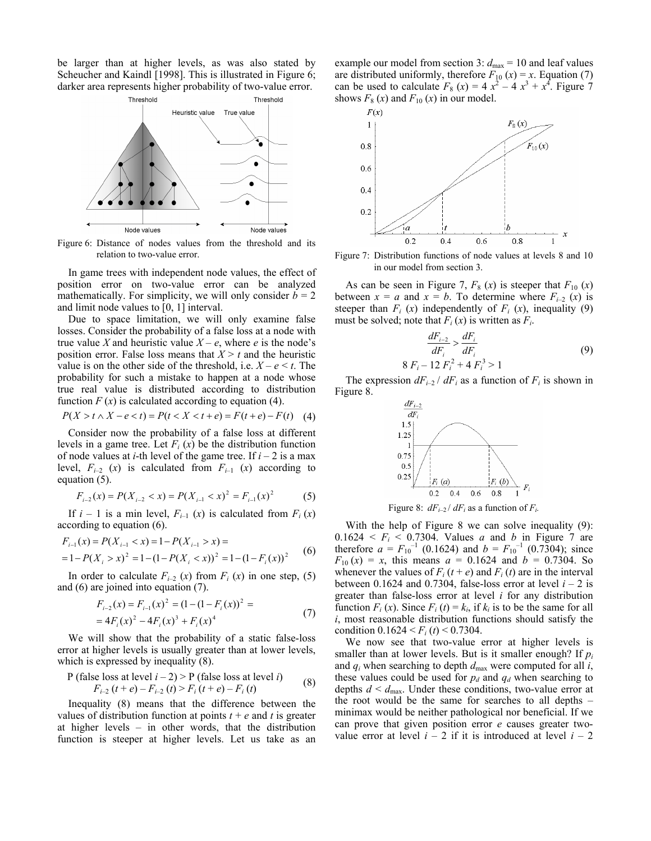be larger than at higher levels, as was also stated by Scheucher and Kaindl [1998]. This is illustrated in Figure 6; darker area represents higher probability of two-value error.



Figure 6: Distance of nodes values from the threshold and its

In game trees with independent node values, the effect of position error on two-value error can be analyzed mathematically. For simplicity, we will only consider  $b = 2$ and limit node values to [0, 1] interval.

Due to space limitation, we will only examine false losses. Consider the probability of a false loss at a node with true value *X* and heuristic value  $X - e$ , where *e* is the node's position error. False loss means that  $X > t$  and the heuristic value is on the other side of the threshold, i.e.  $X - e \leq t$ . The probability for such a mistake to happen at a node whose true real value is distributed according to distribution function  $F(x)$  is calculated according to equation [\(4\).](#page-4-0)

$$
P(X > t \land X - e < t) = P(t < X < t + e) = F(t + e) - F(t) \tag{4}
$$

Consider now the probability of a false loss at different levels in a game tree. Let  $F_i(x)$  be the distribution function of node values at *i*-th level of the game tree. If  $i - 2$  is a max level,  $F_{i-2}$  (*x*) is calculated from  $F_{i-1}$  (*x*) according to equation [\(5\).](#page-4-1)

$$
F_{i-2}(x) = P(X_{i-2} < x) = P(X_{i-1} < x)^2 = F_{i-1}(x)^2 \tag{5}
$$

If  $i - 1$  is a min level,  $F_{i-1}(x)$  is calculated from  $F_i(x)$ according to equation [\(6\).](#page-4-2)

$$
F_{i-1}(x) = P(X_{i-1} < x) = 1 - P(X_{i-1} > x) =
$$
\n
$$
= 1 - P(X_i > x)^2 = 1 - (1 - P(X_i < x))^2 = 1 - (1 - F_i(x))^2 \tag{6}
$$

In order to calculate  $F_{i-2}$  (*x*) from  $F_i$  (*x*) in one step, [\(5\)](#page-4-1) and [\(6\)](#page-4-2) are joined into equation [\(7\).](#page-4-3)

$$
F_{i-2}(x) = F_{i-1}(x)^2 = (1 - (1 - F_i(x))^2) = 1
$$
  
= 4F<sub>i</sub>(x)<sup>2</sup> - 4F<sub>i</sub>(x)<sup>3</sup> + F<sub>i</sub>(x)<sup>4</sup> (7)

We will show that the probability of a static false-loss error at higher levels is usually greater than at lower levels, which is expressed by inequality [\(8\).](#page-4-4)

P (false loss at level 
$$
i - 2
$$
) > P (false loss at level  $i$ )  
\n
$$
F_{i-2} (t+e) - F_{i-2} (t) > F_i (t+e) - F_i (t)
$$
\n(8)

Inequality [\(8\)](#page-4-4) means that the difference between the values of distribution function at points  $t + e$  and  $t$  is greater at higher levels – in other words, that the distribution function is steeper at higher levels. Let us take as an example our model from section 3:  $d_{\text{max}} = 10$  and leaf values are distributed uniformly, therefore  $F_{10}(x) = x$ . Equation (7) can be used to calculate  $F_8(x) = 4x^2 - 4x^3 + x^4$ . Figure 7 shows  $F_8(x)$  and  $F_{10}(x)$  in our model.



relation to two-value error. Figure 7: Distribution functions of node values at levels 8 and 10 in our model from section 3.

As can be seen in Figure 7,  $F_8(x)$  is steeper that  $F_{10}(x)$ between  $x = a$  and  $x = b$ . To determine where  $F_{i-2}(x)$  is steeper than  $F_i$  (*x*) independently of  $F_i$  (*x*), inequality (9) must be solved; note that  $F_i(x)$  is written as  $F_i$ .

<span id="page-4-5"></span>
$$
\frac{dF_{i-2}}{dF_i} > \frac{dF_i}{dF_i}
$$
  
8 F<sub>i</sub> - 12 F<sub>i</sub><sup>2</sup> + 4 F<sub>i</sub><sup>3</sup> > 1 (9)

<span id="page-4-0"></span>The expression  $dF_{i-2} / dF_i$  as a function of  $F_i$  is shown in Figure 8.



Figure 8:  $dF_{i-2}/dF_i$  as a function of  $F_i$ .

<span id="page-4-2"></span><span id="page-4-1"></span>With the help of Figure 8 we can solve inequality [\(9\):](#page-4-5)  $0.1624 \le F_i \le 0.7304$ . Values *a* and *b* in Figure 7 are therefore  $a = F_{10}^{-1}$  (0.1624) and  $b = F_{10}^{-1}$  (0.7304); since  $F_{10}(x) = x$ , this means  $a = 0.1624$  and  $b = 0.7304$ . So whenever the values of  $F_i(t + e)$  and  $F_i(t)$  are in the interval between 0.1624 and 0.7304, false-loss error at level  $i - 2$  is greater than false-loss error at level *i* for any distribution function  $F_i(x)$ . Since  $F_i(t) = k_i$ , if  $k_i$  is to be the same for all *i*, most reasonable distribution functions should satisfy the condition  $0.1624 \le F_i(t) \le 0.7304$ .

<span id="page-4-4"></span><span id="page-4-3"></span>We now see that two-value error at higher levels is smaller than at lower levels. But is it smaller enough? If  $p_i$ and  $q_i$  when searching to depth  $d_{\text{max}}$  were computed for all *i*, these values could be used for  $p_d$  and  $q_d$  when searching to depths  $d < d_{\text{max}}$ . Under these conditions, two-value error at the root would be the same for searches to all depths – minimax would be neither pathological nor beneficial. If we can prove that given position error *e* causes greater twovalue error at level  $i - 2$  if it is introduced at level  $i - 2$